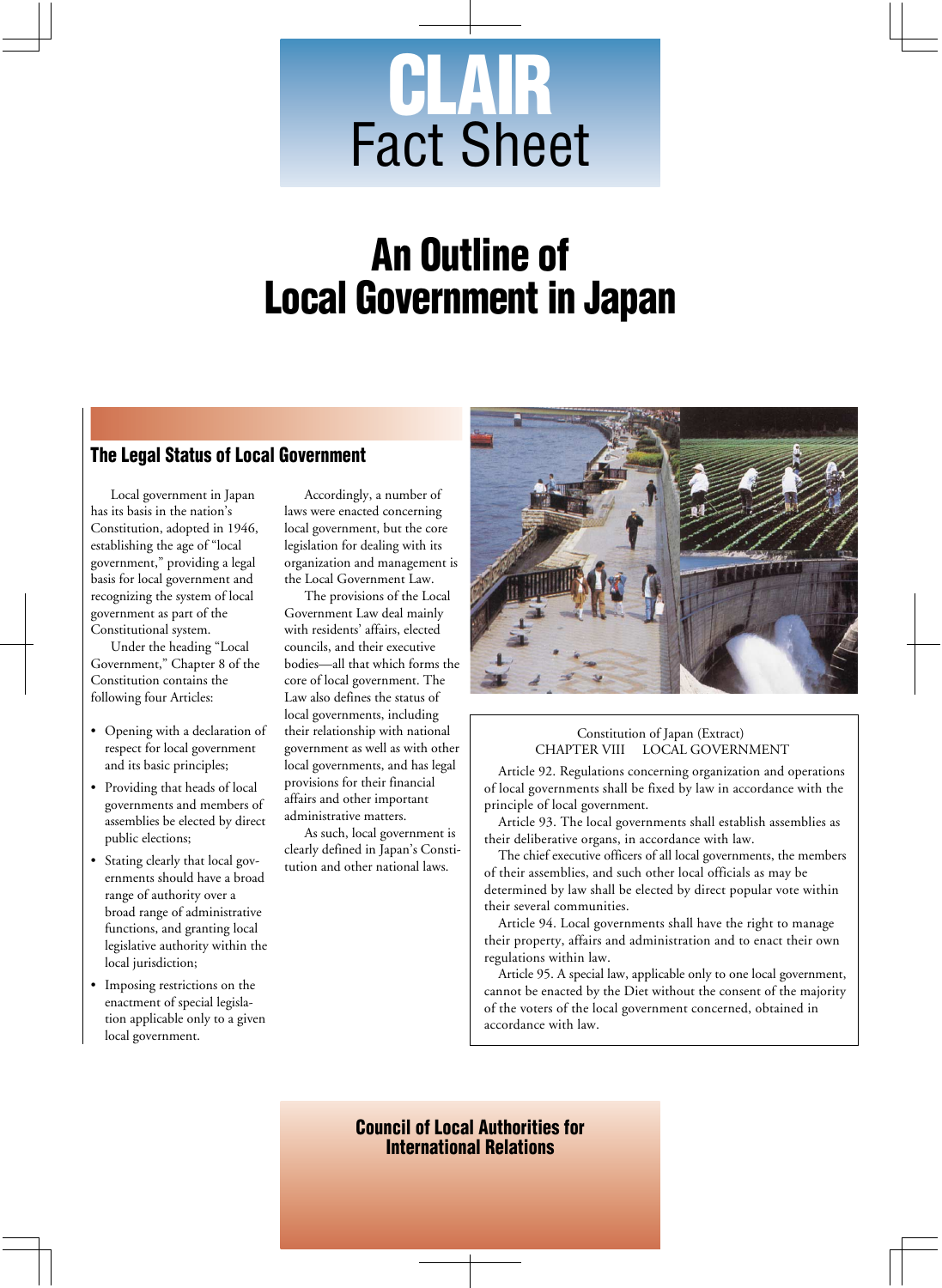# **CLAIR** Fact Sheet

# **An Outline of Local Government in Japan**

# **The Legal Status of Local Government**

Local government in Japan has its basis in the nation's Constitution, adopted in 1946, establishing the age of "local government," providing a legal basis for local government and recognizing the system of local government as part of the Constitutional system.

Under the heading "Local Government," Chapter 8 of the Constitution contains the following four Articles:

- Opening with a declaration of respect for local government and its basic principles;
- Providing that heads of local governments and members of assemblies be elected by direct public elections;
- Stating clearly that local governments should have a broad range of authority over a broad range of administrative functions, and granting local legislative authority within the local jurisdiction;
- Imposing restrictions on the enactment of special legislation applicable only to a given local government.

Accordingly, a number of laws were enacted concerning local government, but the core legislation for dealing with its organization and management is the Local Government Law.

The provisions of the Local Government Law deal mainly with residents' affairs, elected councils, and their executive bodies—all that which forms the core of local government. The Law also defines the status of local governments, including their relationship with national government as well as with other local governments, and has legal provisions for their financial affairs and other important administrative matters.

As such, local government is clearly defined in Japan's Constitution and other national laws.



#### Constitution of Japan (Extract) CHAPTER VIII LOCAL GOVERNMENT

Article 92. Regulations concerning organization and operations of local governments shall be fixed by law in accordance with the principle of local government.

Article 93. The local governments shall establish assemblies as their deliberative organs, in accordance with law.

The chief executive officers of all local governments, the members of their assemblies, and such other local officials as may be determined by law shall be elected by direct popular vote within their several communities.

Article 94. Local governments shall have the right to manage their property, affairs and administration and to enact their own regulations within law.

Article 95. A special law, applicable only to one local government, cannot be enacted by the Diet without the consent of the majority of the voters of the local government concerned, obtained in accordance with law.

**Council of Local Authorities for International Relations**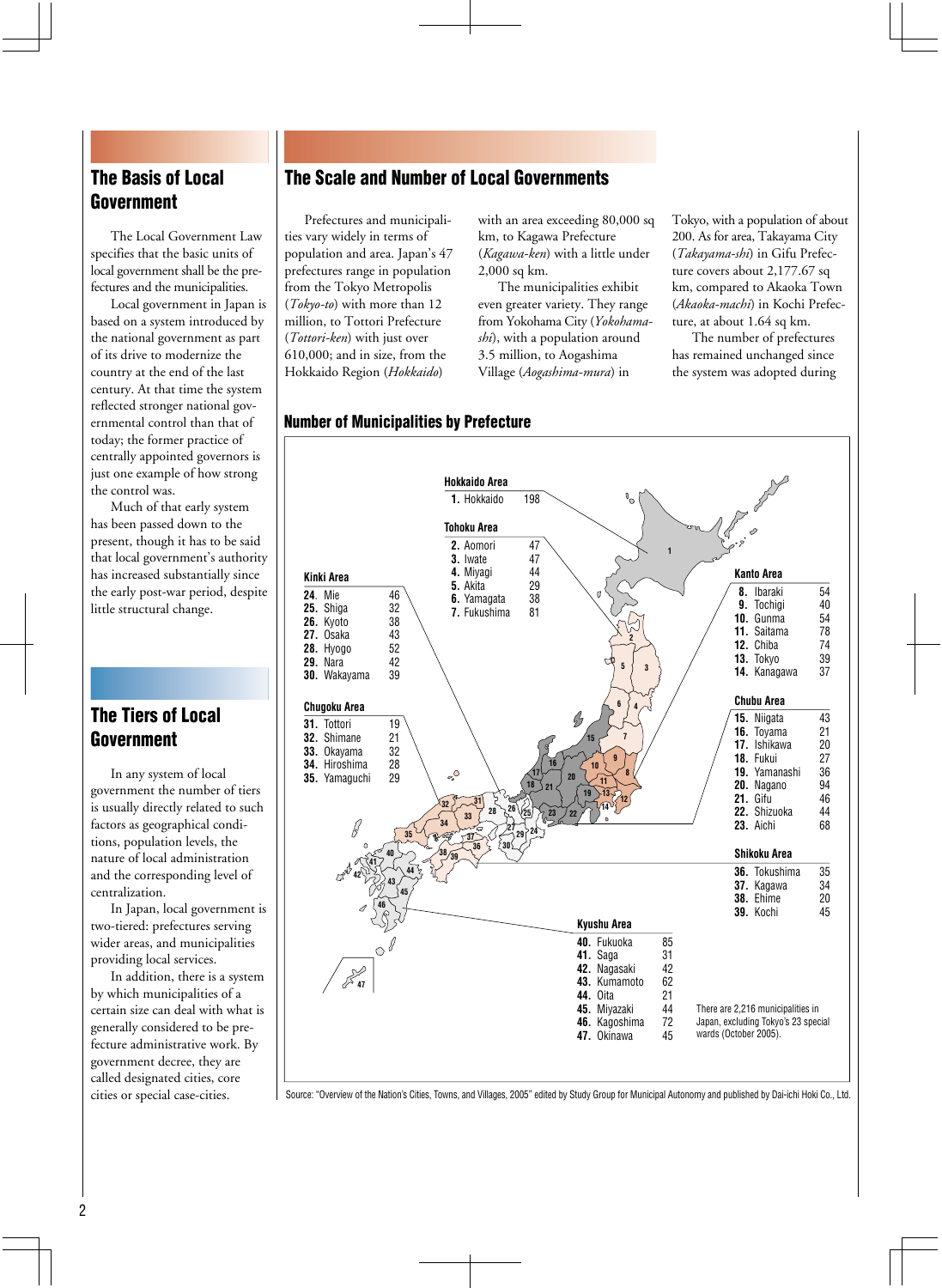# **The Basis of Local Government**

The Local Government Law specifies that the basic units of local government shall be the prefectures and the municipalities.

Local government in Japan is based on a system introduced by the national government as part of its drive to modernize the country at the end of the last century. At that time the system reflected stronger national governmental control than that of today; the former practice of centrally appointed governors is just one example of how strong the control was.

Much of that early system has been passed down to the present, though it has to be said that local government's authority has increased substantially since the early post-war period, despite little structural change.

# **The Tiers of Local Government**

In any system of local government the number of tiers is usually directly related to such factors as geographical conditions, population levels, the nature of local administration and the corresponding level of centralization.

In Japan, local government is two-tiered: prefectures serving wider areas, and municipalities providing local services.

In addition, there is a system by which municipalities of a certain size can deal with what is generally considered to be prefecture administrative work. By government decree, they are called designated cities, core cities or special case-cities.

# **The Scale and Number of Local Governments**

Prefectures and municipalities vary widely in terms of population and area. Japan's 47 prefectures range in population from the Tokyo Metropolis (*Tokyo-to*) with more than 12 million, to Tottori Prefecture (*Tottori-ken*) with just over 610,000; and in size, from the Hokkaido Region (*Hokkaido*)

with an area exceeding 80,000 sq km, to Kagawa Prefecture (*Kagawa-ken*) with a little under 2,000 sq km.

The municipalities exhibit even greater variety. They range from Yokohama City (*Yokohamashi*), with a population around 3.5 million, to Aogashima Village (*Aogashima-mura*) in

Tokyo, with a population of about 200. As for area, Takayama City (*Takayama-shi*) in Gifu Prefecture covers about 2,177.67 sq km, compared to Akaoka Town (*Akaoka-machi*) in Kochi Prefecture, at about 1.64 sq km.

The number of prefectures has remained unchanged since the system was adopted during

# **Number of Municipalities by Prefecture**



Source: "Overview of the Nation's Cities, Towns, and Villages, 2005" edited by Study Group for Municipal Autonomy and published by Dai-ichi Hoki Co., Ltd.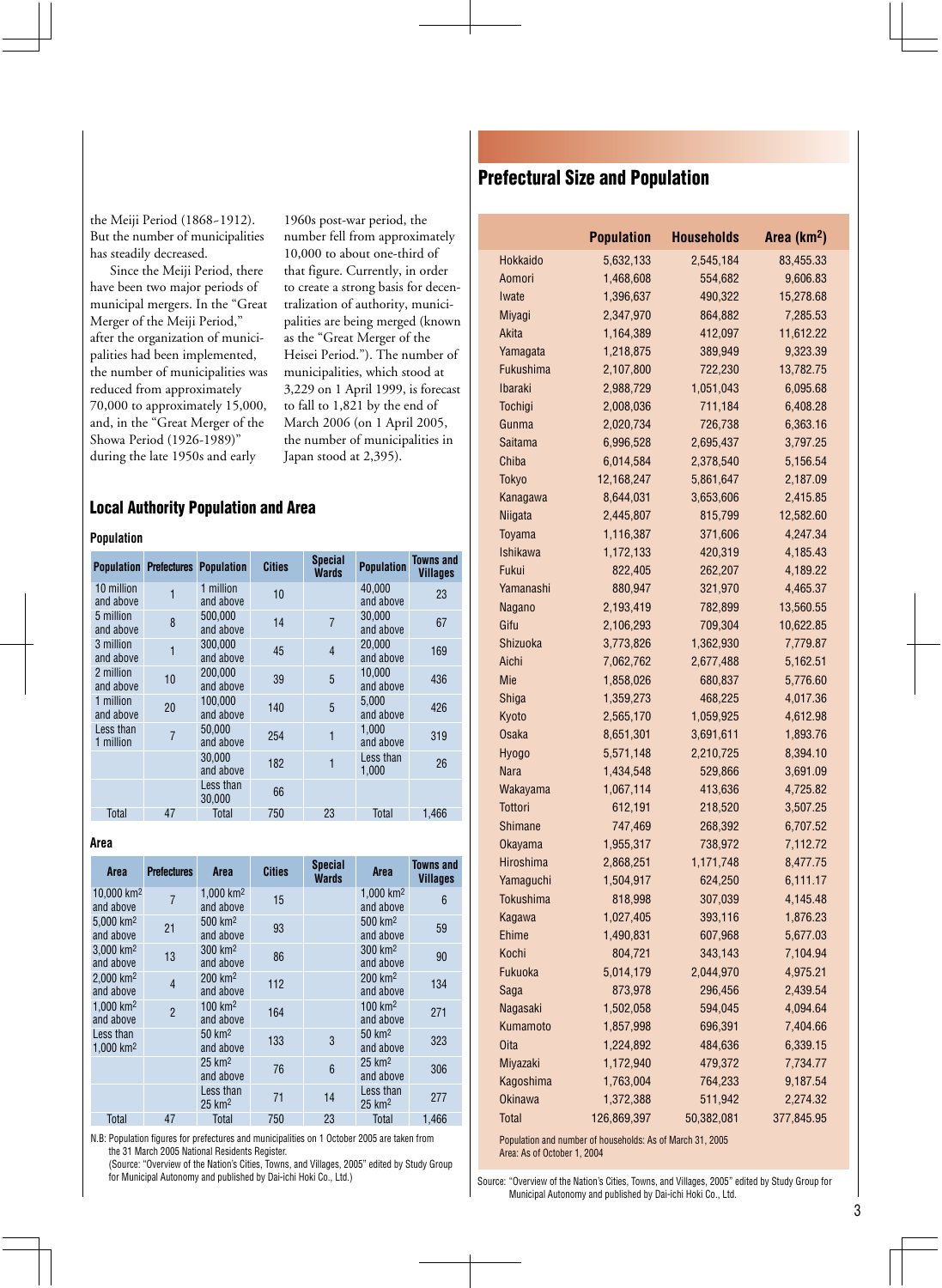the Meiji Period (1868~1912). But the number of municipalities has steadily decreased.

Since the Meiji Period, there have been two major periods of municipal mergers. In the "Great Merger of the Meiji Period," after the organization of municipalities had been implemented, the number of municipalities was reduced from approximately 70,000 to approximately 15,000, and, in the "Great Merger of the Showa Period (1926-1989)" during the late 1950s and early

1960s post-war period, the number fell from approximately 10,000 to about one-third of that figure. Currently, in order to create a strong basis for decentralization of authority, municipalities are being merged (known as the "Great Merger of the Heisei Period."). The number of municipalities, which stood at 3,229 on 1 April 1999, is forecast to fall to 1,821 by the end of March 2006 (on 1 April 2005, the number of municipalities in Japan stood at 2,395).

#### **Local Authority Population and Area**

#### **Population**

|                         | <b>Population Prefectures</b> | <b>Population</b>      | <b>Cities</b> | <b>Special</b><br><b>Wards</b> | <b>Population</b>   | Towns and<br><b>Villages</b> |
|-------------------------|-------------------------------|------------------------|---------------|--------------------------------|---------------------|------------------------------|
| 10 million<br>and above | 1                             | 1 million<br>and above | 10            |                                | 40.000<br>and above | 23                           |
| 5 million<br>and above  | 8                             | 500.000<br>and above   | 14            | $\overline{7}$                 | 30.000<br>and above | 67                           |
| 3 million<br>and above  | 1                             | 300.000<br>and above   | 45            | $\overline{4}$                 | 20,000<br>and above | 169                          |
| 2 million<br>and above  | 10                            | 200.000<br>and above   | 39            | 5                              | 10.000<br>and above | 436                          |
| 1 million<br>and above  | 20                            | 100.000<br>and above   | 140           | 5                              | 5.000<br>and above  | 426                          |
| Less than<br>1 million  | $\overline{7}$                | 50.000<br>and above    | 254           | 1                              | 1.000<br>and above  | 319                          |
|                         |                               | 30.000<br>and above    | 182           | 1                              | Less than<br>1,000  | 26                           |
|                         |                               | Less than<br>30,000    | 66            |                                |                     |                              |
| Total                   | 47                            | <b>Total</b>           | 750           | 23                             | <b>Total</b>        | 1,466                        |

#### **Area**

| Area                                 | <b>Prefectures</b> | Area                                 | <b>Cities</b> | <b>Special</b><br><b>Wards</b> | Area                             | Towns and<br><b>Villages</b> |
|--------------------------------------|--------------------|--------------------------------------|---------------|--------------------------------|----------------------------------|------------------------------|
| 10.000 km <sup>2</sup><br>and above  | $\overline{7}$     | $1.000$ km <sup>2</sup><br>and above | 15            |                                | 1.000 $km^2$<br>and above        | $6\phantom{1}6$              |
| 5.000 km <sup>2</sup><br>and above   | 21                 | 500 km <sup>2</sup><br>and above     | 93            |                                | 500 km <sup>2</sup><br>and above | 59                           |
| 3.000 km <sup>2</sup><br>and above   | 13                 | 300 km <sup>2</sup><br>and above     | 86            |                                | 300 km <sup>2</sup><br>and above | 90                           |
| $2.000$ km <sup>2</sup><br>and above | $\overline{4}$     | 200 km <sup>2</sup><br>and above     | 112           |                                | 200 km <sup>2</sup><br>and above | 134                          |
| 1.000 km <sup>2</sup><br>and above   | $\overline{2}$     | 100 km <sup>2</sup><br>and above     | 164           |                                | 100 km <sup>2</sup><br>and above | 271                          |
| Less than<br>$1.000$ km <sup>2</sup> |                    | 50 km <sup>2</sup><br>and above      | 133           | 3                              | 50 km <sup>2</sup><br>and above  | 323                          |
|                                      |                    | $25 \text{ km}^2$<br>and above       | 76            | 6                              | $25 \text{ km}^2$<br>and above   | 306                          |
|                                      |                    | Less than<br>25 km <sup>2</sup>      | 71            | 14                             | Less than<br>25 km <sup>2</sup>  | 277                          |
| Total                                | 47                 | <b>Total</b>                         | 750           | 23                             | <b>Total</b>                     | 1.466                        |

N.B: Population figures for prefectures and municipalities on 1 October 2005 are taken from the 31 March 2005 National Residents Register. (Source: "Overview of the Nation's Cities, Towns, and Villages, 2005" edited by Study Group

for Municipal Autonomy and published by Dai-ichi Hoki Co., Ltd.)

# **Prefectural Size and Population**

| Hokkaido<br>5,632,133<br>2,545,184<br>83,455.33<br>1,468,608<br>554,682<br>9,606.83<br>Aomori<br>1,396,637<br>15,278.68<br>Iwate<br>490,322<br><b>Miyagi</b><br>2,347,970<br>864,882<br>7,285.53<br>Akita<br>412,097<br>11,612.22<br>1,164,389<br>1,218,875<br>389,949<br>9,323.39<br>Yamagata<br><b>Fukushima</b><br>2,107,800<br>722,230<br>13,782.75<br><b>Ibaraki</b><br>2,988,729<br>1,051,043<br>6,095.68<br>711,184<br>Tochigi<br>2,008,036<br>6,408.28<br>Gunma<br>2,020,734<br>726,738<br>6,363.16<br>3,797.25<br><b>Saitama</b><br>6,996,528<br>2,695,437<br>Chiba<br>6,014,584<br>2,378,540<br>5,156.54<br><b>Tokyo</b><br>12,168,247<br>5,861,647<br>2,187.09<br>Kanagawa<br>8,644,031<br>3,653,606<br>2,415.85<br>Niigata<br>2,445,807<br>815,799<br>12,582.60<br>Toyama<br>1,116,387<br>4,247.34<br>371,606<br><b>Ishikawa</b><br>1,172,133<br>420,319<br>4,185.43<br>Fukui<br>822,405<br>262,207<br>4,189.22<br>880,947<br>321,970<br>4,465.37<br>Yamanashi<br>2,193,419<br>13,560.55<br>782,899<br>Nagano<br>Gifu<br>2,106,293<br>709,304<br>10,622.85<br>7,779.87<br>Shizuoka<br>3,773,826<br>1,362,930<br>Aichi<br>7,062,762<br>2,677,488<br>5,162.51<br>Mie<br>1,858,026<br>680,837<br>5,776.60<br>Shiga<br>1,359,273<br>4,017.36<br>468,225<br>2,565,170<br>4,612.98<br>Kyoto<br>1,059,925<br>8,651,301<br><b>Osaka</b><br>3,691,611<br>1,893.76<br>5,571,148<br>2,210,725<br>8,394.10<br><b>Hyogo</b><br>Nara<br>3,691.09<br>1,434,548<br>529,866<br>1,067,114<br>413,636<br>4,725.82<br>Wakayama<br><b>Tottori</b><br>612,191<br>218,520<br>3,507.25<br>Shimane<br>747,469<br>268,392<br>6,707.52<br>1,955,317<br>738,972<br>7,112.72<br><b>Okayama</b><br>Hiroshima<br>1,171,748<br>8,477.75<br>2,868,251<br>Yamaguchi<br>1,504,917<br>6,111.17<br>624,250<br><b>Tokushima</b><br>818,998<br>307,039<br>4,145.48<br>Kagawa<br>1,027,405<br>393,116<br>1,876.23<br>Ehime<br>1,490,831<br>607,968<br>5,677.03<br>Kochi<br>804,721<br>343,143<br>7,104.94<br>Fukuoka<br>5,014,179<br>2,044,970<br>4,975.21<br>Saga<br>873,978<br>296,456<br>2,439.54<br>4,094.64<br>Nagasaki<br>1,502,058<br>594,045<br>Kumamoto<br>1,857,998<br>696,391<br>7,404.66<br><b>Oita</b><br>484,636<br>1,224,892<br>6,339.15<br>Miyazaki<br>1,172,940<br>479,372<br>7,734.77<br>Kagoshima<br>1,763,004<br>764,233<br>9,187.54<br><b>Okinawa</b><br>1,372,388<br>511,942<br>2,274.32<br>Total<br>126,869,397<br>50,382,081<br>377,845.95 | <b>Population</b> | <b>Households</b> | Area (km <sup>2</sup> ) |
|----------------------------------------------------------------------------------------------------------------------------------------------------------------------------------------------------------------------------------------------------------------------------------------------------------------------------------------------------------------------------------------------------------------------------------------------------------------------------------------------------------------------------------------------------------------------------------------------------------------------------------------------------------------------------------------------------------------------------------------------------------------------------------------------------------------------------------------------------------------------------------------------------------------------------------------------------------------------------------------------------------------------------------------------------------------------------------------------------------------------------------------------------------------------------------------------------------------------------------------------------------------------------------------------------------------------------------------------------------------------------------------------------------------------------------------------------------------------------------------------------------------------------------------------------------------------------------------------------------------------------------------------------------------------------------------------------------------------------------------------------------------------------------------------------------------------------------------------------------------------------------------------------------------------------------------------------------------------------------------------------------------------------------------------------------------------------------------------------------------------------------------------------------------------------------------------------------------------------------------------------------------------------------------------------------------------------------------------------------------------------------------------------------------------------------------|-------------------|-------------------|-------------------------|
|                                                                                                                                                                                                                                                                                                                                                                                                                                                                                                                                                                                                                                                                                                                                                                                                                                                                                                                                                                                                                                                                                                                                                                                                                                                                                                                                                                                                                                                                                                                                                                                                                                                                                                                                                                                                                                                                                                                                                                                                                                                                                                                                                                                                                                                                                                                                                                                                                                        |                   |                   |                         |
|                                                                                                                                                                                                                                                                                                                                                                                                                                                                                                                                                                                                                                                                                                                                                                                                                                                                                                                                                                                                                                                                                                                                                                                                                                                                                                                                                                                                                                                                                                                                                                                                                                                                                                                                                                                                                                                                                                                                                                                                                                                                                                                                                                                                                                                                                                                                                                                                                                        |                   |                   |                         |
|                                                                                                                                                                                                                                                                                                                                                                                                                                                                                                                                                                                                                                                                                                                                                                                                                                                                                                                                                                                                                                                                                                                                                                                                                                                                                                                                                                                                                                                                                                                                                                                                                                                                                                                                                                                                                                                                                                                                                                                                                                                                                                                                                                                                                                                                                                                                                                                                                                        |                   |                   |                         |
|                                                                                                                                                                                                                                                                                                                                                                                                                                                                                                                                                                                                                                                                                                                                                                                                                                                                                                                                                                                                                                                                                                                                                                                                                                                                                                                                                                                                                                                                                                                                                                                                                                                                                                                                                                                                                                                                                                                                                                                                                                                                                                                                                                                                                                                                                                                                                                                                                                        |                   |                   |                         |
|                                                                                                                                                                                                                                                                                                                                                                                                                                                                                                                                                                                                                                                                                                                                                                                                                                                                                                                                                                                                                                                                                                                                                                                                                                                                                                                                                                                                                                                                                                                                                                                                                                                                                                                                                                                                                                                                                                                                                                                                                                                                                                                                                                                                                                                                                                                                                                                                                                        |                   |                   |                         |
|                                                                                                                                                                                                                                                                                                                                                                                                                                                                                                                                                                                                                                                                                                                                                                                                                                                                                                                                                                                                                                                                                                                                                                                                                                                                                                                                                                                                                                                                                                                                                                                                                                                                                                                                                                                                                                                                                                                                                                                                                                                                                                                                                                                                                                                                                                                                                                                                                                        |                   |                   |                         |
|                                                                                                                                                                                                                                                                                                                                                                                                                                                                                                                                                                                                                                                                                                                                                                                                                                                                                                                                                                                                                                                                                                                                                                                                                                                                                                                                                                                                                                                                                                                                                                                                                                                                                                                                                                                                                                                                                                                                                                                                                                                                                                                                                                                                                                                                                                                                                                                                                                        |                   |                   |                         |
|                                                                                                                                                                                                                                                                                                                                                                                                                                                                                                                                                                                                                                                                                                                                                                                                                                                                                                                                                                                                                                                                                                                                                                                                                                                                                                                                                                                                                                                                                                                                                                                                                                                                                                                                                                                                                                                                                                                                                                                                                                                                                                                                                                                                                                                                                                                                                                                                                                        |                   |                   |                         |
|                                                                                                                                                                                                                                                                                                                                                                                                                                                                                                                                                                                                                                                                                                                                                                                                                                                                                                                                                                                                                                                                                                                                                                                                                                                                                                                                                                                                                                                                                                                                                                                                                                                                                                                                                                                                                                                                                                                                                                                                                                                                                                                                                                                                                                                                                                                                                                                                                                        |                   |                   |                         |
|                                                                                                                                                                                                                                                                                                                                                                                                                                                                                                                                                                                                                                                                                                                                                                                                                                                                                                                                                                                                                                                                                                                                                                                                                                                                                                                                                                                                                                                                                                                                                                                                                                                                                                                                                                                                                                                                                                                                                                                                                                                                                                                                                                                                                                                                                                                                                                                                                                        |                   |                   |                         |
|                                                                                                                                                                                                                                                                                                                                                                                                                                                                                                                                                                                                                                                                                                                                                                                                                                                                                                                                                                                                                                                                                                                                                                                                                                                                                                                                                                                                                                                                                                                                                                                                                                                                                                                                                                                                                                                                                                                                                                                                                                                                                                                                                                                                                                                                                                                                                                                                                                        |                   |                   |                         |
|                                                                                                                                                                                                                                                                                                                                                                                                                                                                                                                                                                                                                                                                                                                                                                                                                                                                                                                                                                                                                                                                                                                                                                                                                                                                                                                                                                                                                                                                                                                                                                                                                                                                                                                                                                                                                                                                                                                                                                                                                                                                                                                                                                                                                                                                                                                                                                                                                                        |                   |                   |                         |
|                                                                                                                                                                                                                                                                                                                                                                                                                                                                                                                                                                                                                                                                                                                                                                                                                                                                                                                                                                                                                                                                                                                                                                                                                                                                                                                                                                                                                                                                                                                                                                                                                                                                                                                                                                                                                                                                                                                                                                                                                                                                                                                                                                                                                                                                                                                                                                                                                                        |                   |                   |                         |
|                                                                                                                                                                                                                                                                                                                                                                                                                                                                                                                                                                                                                                                                                                                                                                                                                                                                                                                                                                                                                                                                                                                                                                                                                                                                                                                                                                                                                                                                                                                                                                                                                                                                                                                                                                                                                                                                                                                                                                                                                                                                                                                                                                                                                                                                                                                                                                                                                                        |                   |                   |                         |
|                                                                                                                                                                                                                                                                                                                                                                                                                                                                                                                                                                                                                                                                                                                                                                                                                                                                                                                                                                                                                                                                                                                                                                                                                                                                                                                                                                                                                                                                                                                                                                                                                                                                                                                                                                                                                                                                                                                                                                                                                                                                                                                                                                                                                                                                                                                                                                                                                                        |                   |                   |                         |
|                                                                                                                                                                                                                                                                                                                                                                                                                                                                                                                                                                                                                                                                                                                                                                                                                                                                                                                                                                                                                                                                                                                                                                                                                                                                                                                                                                                                                                                                                                                                                                                                                                                                                                                                                                                                                                                                                                                                                                                                                                                                                                                                                                                                                                                                                                                                                                                                                                        |                   |                   |                         |
|                                                                                                                                                                                                                                                                                                                                                                                                                                                                                                                                                                                                                                                                                                                                                                                                                                                                                                                                                                                                                                                                                                                                                                                                                                                                                                                                                                                                                                                                                                                                                                                                                                                                                                                                                                                                                                                                                                                                                                                                                                                                                                                                                                                                                                                                                                                                                                                                                                        |                   |                   |                         |
|                                                                                                                                                                                                                                                                                                                                                                                                                                                                                                                                                                                                                                                                                                                                                                                                                                                                                                                                                                                                                                                                                                                                                                                                                                                                                                                                                                                                                                                                                                                                                                                                                                                                                                                                                                                                                                                                                                                                                                                                                                                                                                                                                                                                                                                                                                                                                                                                                                        |                   |                   |                         |
|                                                                                                                                                                                                                                                                                                                                                                                                                                                                                                                                                                                                                                                                                                                                                                                                                                                                                                                                                                                                                                                                                                                                                                                                                                                                                                                                                                                                                                                                                                                                                                                                                                                                                                                                                                                                                                                                                                                                                                                                                                                                                                                                                                                                                                                                                                                                                                                                                                        |                   |                   |                         |
|                                                                                                                                                                                                                                                                                                                                                                                                                                                                                                                                                                                                                                                                                                                                                                                                                                                                                                                                                                                                                                                                                                                                                                                                                                                                                                                                                                                                                                                                                                                                                                                                                                                                                                                                                                                                                                                                                                                                                                                                                                                                                                                                                                                                                                                                                                                                                                                                                                        |                   |                   |                         |
|                                                                                                                                                                                                                                                                                                                                                                                                                                                                                                                                                                                                                                                                                                                                                                                                                                                                                                                                                                                                                                                                                                                                                                                                                                                                                                                                                                                                                                                                                                                                                                                                                                                                                                                                                                                                                                                                                                                                                                                                                                                                                                                                                                                                                                                                                                                                                                                                                                        |                   |                   |                         |
|                                                                                                                                                                                                                                                                                                                                                                                                                                                                                                                                                                                                                                                                                                                                                                                                                                                                                                                                                                                                                                                                                                                                                                                                                                                                                                                                                                                                                                                                                                                                                                                                                                                                                                                                                                                                                                                                                                                                                                                                                                                                                                                                                                                                                                                                                                                                                                                                                                        |                   |                   |                         |
|                                                                                                                                                                                                                                                                                                                                                                                                                                                                                                                                                                                                                                                                                                                                                                                                                                                                                                                                                                                                                                                                                                                                                                                                                                                                                                                                                                                                                                                                                                                                                                                                                                                                                                                                                                                                                                                                                                                                                                                                                                                                                                                                                                                                                                                                                                                                                                                                                                        |                   |                   |                         |
|                                                                                                                                                                                                                                                                                                                                                                                                                                                                                                                                                                                                                                                                                                                                                                                                                                                                                                                                                                                                                                                                                                                                                                                                                                                                                                                                                                                                                                                                                                                                                                                                                                                                                                                                                                                                                                                                                                                                                                                                                                                                                                                                                                                                                                                                                                                                                                                                                                        |                   |                   |                         |
|                                                                                                                                                                                                                                                                                                                                                                                                                                                                                                                                                                                                                                                                                                                                                                                                                                                                                                                                                                                                                                                                                                                                                                                                                                                                                                                                                                                                                                                                                                                                                                                                                                                                                                                                                                                                                                                                                                                                                                                                                                                                                                                                                                                                                                                                                                                                                                                                                                        |                   |                   |                         |
|                                                                                                                                                                                                                                                                                                                                                                                                                                                                                                                                                                                                                                                                                                                                                                                                                                                                                                                                                                                                                                                                                                                                                                                                                                                                                                                                                                                                                                                                                                                                                                                                                                                                                                                                                                                                                                                                                                                                                                                                                                                                                                                                                                                                                                                                                                                                                                                                                                        |                   |                   |                         |
|                                                                                                                                                                                                                                                                                                                                                                                                                                                                                                                                                                                                                                                                                                                                                                                                                                                                                                                                                                                                                                                                                                                                                                                                                                                                                                                                                                                                                                                                                                                                                                                                                                                                                                                                                                                                                                                                                                                                                                                                                                                                                                                                                                                                                                                                                                                                                                                                                                        |                   |                   |                         |
|                                                                                                                                                                                                                                                                                                                                                                                                                                                                                                                                                                                                                                                                                                                                                                                                                                                                                                                                                                                                                                                                                                                                                                                                                                                                                                                                                                                                                                                                                                                                                                                                                                                                                                                                                                                                                                                                                                                                                                                                                                                                                                                                                                                                                                                                                                                                                                                                                                        |                   |                   |                         |
|                                                                                                                                                                                                                                                                                                                                                                                                                                                                                                                                                                                                                                                                                                                                                                                                                                                                                                                                                                                                                                                                                                                                                                                                                                                                                                                                                                                                                                                                                                                                                                                                                                                                                                                                                                                                                                                                                                                                                                                                                                                                                                                                                                                                                                                                                                                                                                                                                                        |                   |                   |                         |
|                                                                                                                                                                                                                                                                                                                                                                                                                                                                                                                                                                                                                                                                                                                                                                                                                                                                                                                                                                                                                                                                                                                                                                                                                                                                                                                                                                                                                                                                                                                                                                                                                                                                                                                                                                                                                                                                                                                                                                                                                                                                                                                                                                                                                                                                                                                                                                                                                                        |                   |                   |                         |
|                                                                                                                                                                                                                                                                                                                                                                                                                                                                                                                                                                                                                                                                                                                                                                                                                                                                                                                                                                                                                                                                                                                                                                                                                                                                                                                                                                                                                                                                                                                                                                                                                                                                                                                                                                                                                                                                                                                                                                                                                                                                                                                                                                                                                                                                                                                                                                                                                                        |                   |                   |                         |
|                                                                                                                                                                                                                                                                                                                                                                                                                                                                                                                                                                                                                                                                                                                                                                                                                                                                                                                                                                                                                                                                                                                                                                                                                                                                                                                                                                                                                                                                                                                                                                                                                                                                                                                                                                                                                                                                                                                                                                                                                                                                                                                                                                                                                                                                                                                                                                                                                                        |                   |                   |                         |
|                                                                                                                                                                                                                                                                                                                                                                                                                                                                                                                                                                                                                                                                                                                                                                                                                                                                                                                                                                                                                                                                                                                                                                                                                                                                                                                                                                                                                                                                                                                                                                                                                                                                                                                                                                                                                                                                                                                                                                                                                                                                                                                                                                                                                                                                                                                                                                                                                                        |                   |                   |                         |
|                                                                                                                                                                                                                                                                                                                                                                                                                                                                                                                                                                                                                                                                                                                                                                                                                                                                                                                                                                                                                                                                                                                                                                                                                                                                                                                                                                                                                                                                                                                                                                                                                                                                                                                                                                                                                                                                                                                                                                                                                                                                                                                                                                                                                                                                                                                                                                                                                                        |                   |                   |                         |
|                                                                                                                                                                                                                                                                                                                                                                                                                                                                                                                                                                                                                                                                                                                                                                                                                                                                                                                                                                                                                                                                                                                                                                                                                                                                                                                                                                                                                                                                                                                                                                                                                                                                                                                                                                                                                                                                                                                                                                                                                                                                                                                                                                                                                                                                                                                                                                                                                                        |                   |                   |                         |
|                                                                                                                                                                                                                                                                                                                                                                                                                                                                                                                                                                                                                                                                                                                                                                                                                                                                                                                                                                                                                                                                                                                                                                                                                                                                                                                                                                                                                                                                                                                                                                                                                                                                                                                                                                                                                                                                                                                                                                                                                                                                                                                                                                                                                                                                                                                                                                                                                                        |                   |                   |                         |
|                                                                                                                                                                                                                                                                                                                                                                                                                                                                                                                                                                                                                                                                                                                                                                                                                                                                                                                                                                                                                                                                                                                                                                                                                                                                                                                                                                                                                                                                                                                                                                                                                                                                                                                                                                                                                                                                                                                                                                                                                                                                                                                                                                                                                                                                                                                                                                                                                                        |                   |                   |                         |
|                                                                                                                                                                                                                                                                                                                                                                                                                                                                                                                                                                                                                                                                                                                                                                                                                                                                                                                                                                                                                                                                                                                                                                                                                                                                                                                                                                                                                                                                                                                                                                                                                                                                                                                                                                                                                                                                                                                                                                                                                                                                                                                                                                                                                                                                                                                                                                                                                                        |                   |                   |                         |
|                                                                                                                                                                                                                                                                                                                                                                                                                                                                                                                                                                                                                                                                                                                                                                                                                                                                                                                                                                                                                                                                                                                                                                                                                                                                                                                                                                                                                                                                                                                                                                                                                                                                                                                                                                                                                                                                                                                                                                                                                                                                                                                                                                                                                                                                                                                                                                                                                                        |                   |                   |                         |
|                                                                                                                                                                                                                                                                                                                                                                                                                                                                                                                                                                                                                                                                                                                                                                                                                                                                                                                                                                                                                                                                                                                                                                                                                                                                                                                                                                                                                                                                                                                                                                                                                                                                                                                                                                                                                                                                                                                                                                                                                                                                                                                                                                                                                                                                                                                                                                                                                                        |                   |                   |                         |
|                                                                                                                                                                                                                                                                                                                                                                                                                                                                                                                                                                                                                                                                                                                                                                                                                                                                                                                                                                                                                                                                                                                                                                                                                                                                                                                                                                                                                                                                                                                                                                                                                                                                                                                                                                                                                                                                                                                                                                                                                                                                                                                                                                                                                                                                                                                                                                                                                                        |                   |                   |                         |
|                                                                                                                                                                                                                                                                                                                                                                                                                                                                                                                                                                                                                                                                                                                                                                                                                                                                                                                                                                                                                                                                                                                                                                                                                                                                                                                                                                                                                                                                                                                                                                                                                                                                                                                                                                                                                                                                                                                                                                                                                                                                                                                                                                                                                                                                                                                                                                                                                                        |                   |                   |                         |
|                                                                                                                                                                                                                                                                                                                                                                                                                                                                                                                                                                                                                                                                                                                                                                                                                                                                                                                                                                                                                                                                                                                                                                                                                                                                                                                                                                                                                                                                                                                                                                                                                                                                                                                                                                                                                                                                                                                                                                                                                                                                                                                                                                                                                                                                                                                                                                                                                                        |                   |                   |                         |
|                                                                                                                                                                                                                                                                                                                                                                                                                                                                                                                                                                                                                                                                                                                                                                                                                                                                                                                                                                                                                                                                                                                                                                                                                                                                                                                                                                                                                                                                                                                                                                                                                                                                                                                                                                                                                                                                                                                                                                                                                                                                                                                                                                                                                                                                                                                                                                                                                                        |                   |                   |                         |
|                                                                                                                                                                                                                                                                                                                                                                                                                                                                                                                                                                                                                                                                                                                                                                                                                                                                                                                                                                                                                                                                                                                                                                                                                                                                                                                                                                                                                                                                                                                                                                                                                                                                                                                                                                                                                                                                                                                                                                                                                                                                                                                                                                                                                                                                                                                                                                                                                                        |                   |                   |                         |
|                                                                                                                                                                                                                                                                                                                                                                                                                                                                                                                                                                                                                                                                                                                                                                                                                                                                                                                                                                                                                                                                                                                                                                                                                                                                                                                                                                                                                                                                                                                                                                                                                                                                                                                                                                                                                                                                                                                                                                                                                                                                                                                                                                                                                                                                                                                                                                                                                                        |                   |                   |                         |
|                                                                                                                                                                                                                                                                                                                                                                                                                                                                                                                                                                                                                                                                                                                                                                                                                                                                                                                                                                                                                                                                                                                                                                                                                                                                                                                                                                                                                                                                                                                                                                                                                                                                                                                                                                                                                                                                                                                                                                                                                                                                                                                                                                                                                                                                                                                                                                                                                                        |                   |                   |                         |
|                                                                                                                                                                                                                                                                                                                                                                                                                                                                                                                                                                                                                                                                                                                                                                                                                                                                                                                                                                                                                                                                                                                                                                                                                                                                                                                                                                                                                                                                                                                                                                                                                                                                                                                                                                                                                                                                                                                                                                                                                                                                                                                                                                                                                                                                                                                                                                                                                                        |                   |                   |                         |

Population and number of households: As of March 31, 2005 Area: As of October 1, 2004

Source: "Overview of the Nation's Cities, Towns, and Villages, 2005" edited by Study Group for Municipal Autonomy and published by Dai-ichi Hoki Co., Ltd.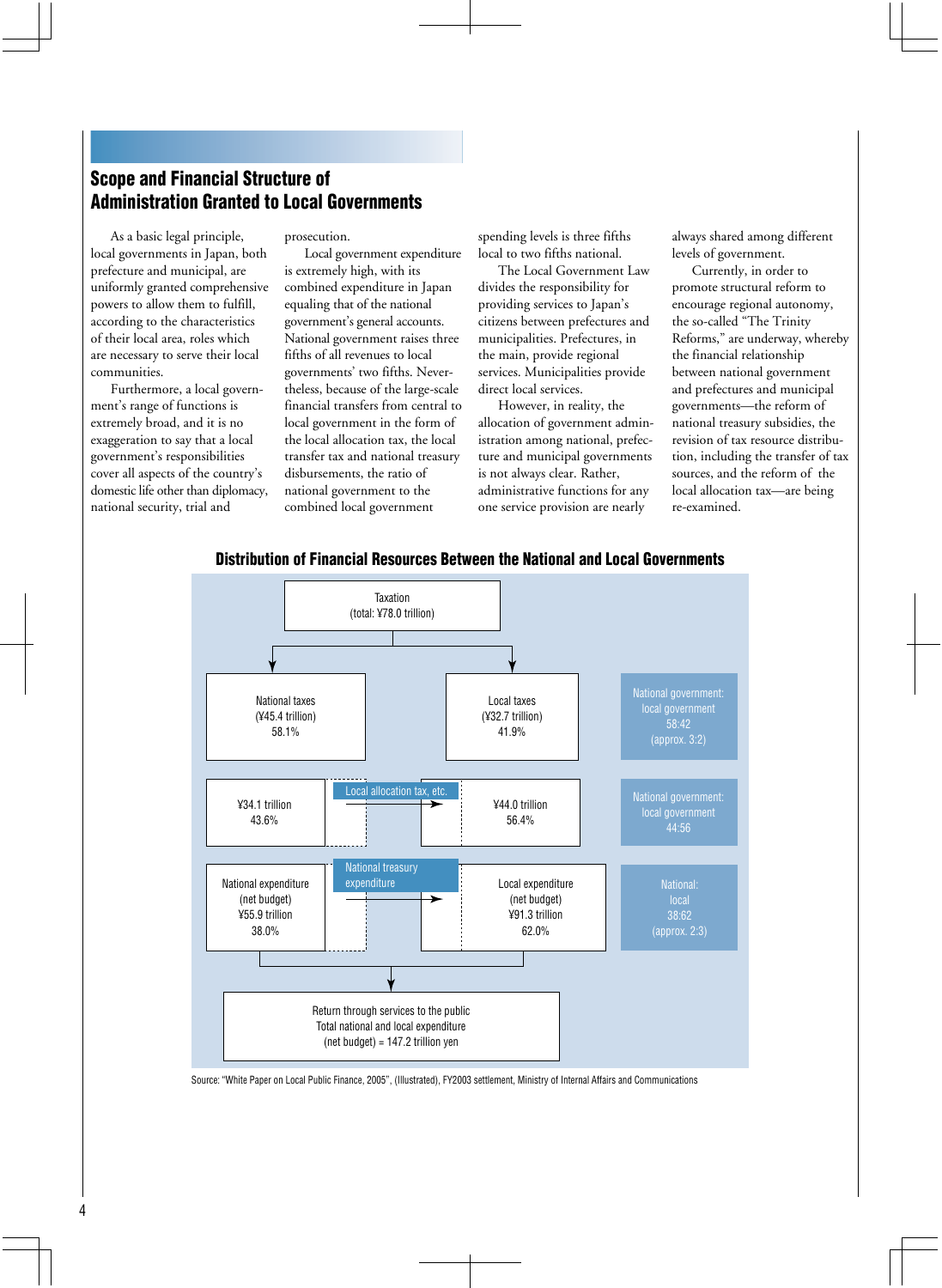# **Scope and Financial Structure of Administration Granted to Local Governments**

As a basic legal principle, local governments in Japan, both prefecture and municipal, are uniformly granted comprehensive powers to allow them to fulfill, according to the characteristics of their local area, roles which are necessary to serve their local communities.

Furthermore, a local government's range of functions is extremely broad, and it is no exaggeration to say that a local government's responsibilities cover all aspects of the country's domestic life other than diplomacy, national security, trial and

prosecution.

Local government expenditure is extremely high, with its combined expenditure in Japan equaling that of the national government's general accounts. National government raises three fifths of all revenues to local governments' two fifths. Nevertheless, because of the large-scale financial transfers from central to local government in the form of the local allocation tax, the local transfer tax and national treasury disbursements, the ratio of national government to the combined local government

spending levels is three fifths local to two fifths national.

The Local Government Law divides the responsibility for providing services to Japan's citizens between prefectures and municipalities. Prefectures, in the main, provide regional services. Municipalities provide direct local services.

However, in reality, the allocation of government administration among national, prefecture and municipal governments is not always clear. Rather, administrative functions for any one service provision are nearly

always shared among different levels of government.

Currently, in order to promote structural reform to encourage regional autonomy, the so-called "The Trinity Reforms," are underway, whereby the financial relationship between national government and prefectures and municipal governments—the reform of national treasury subsidies, the revision of tax resource distribution, including the transfer of tax sources, and the reform of the local allocation tax—are being re-examined.



#### **Distribution of Financial Resources Between the National and Local Governments**

Source: "White Paper on Local Public Finance, 2005", (Illustrated), FY2003 settlement, Ministry of Internal Affairs and Communications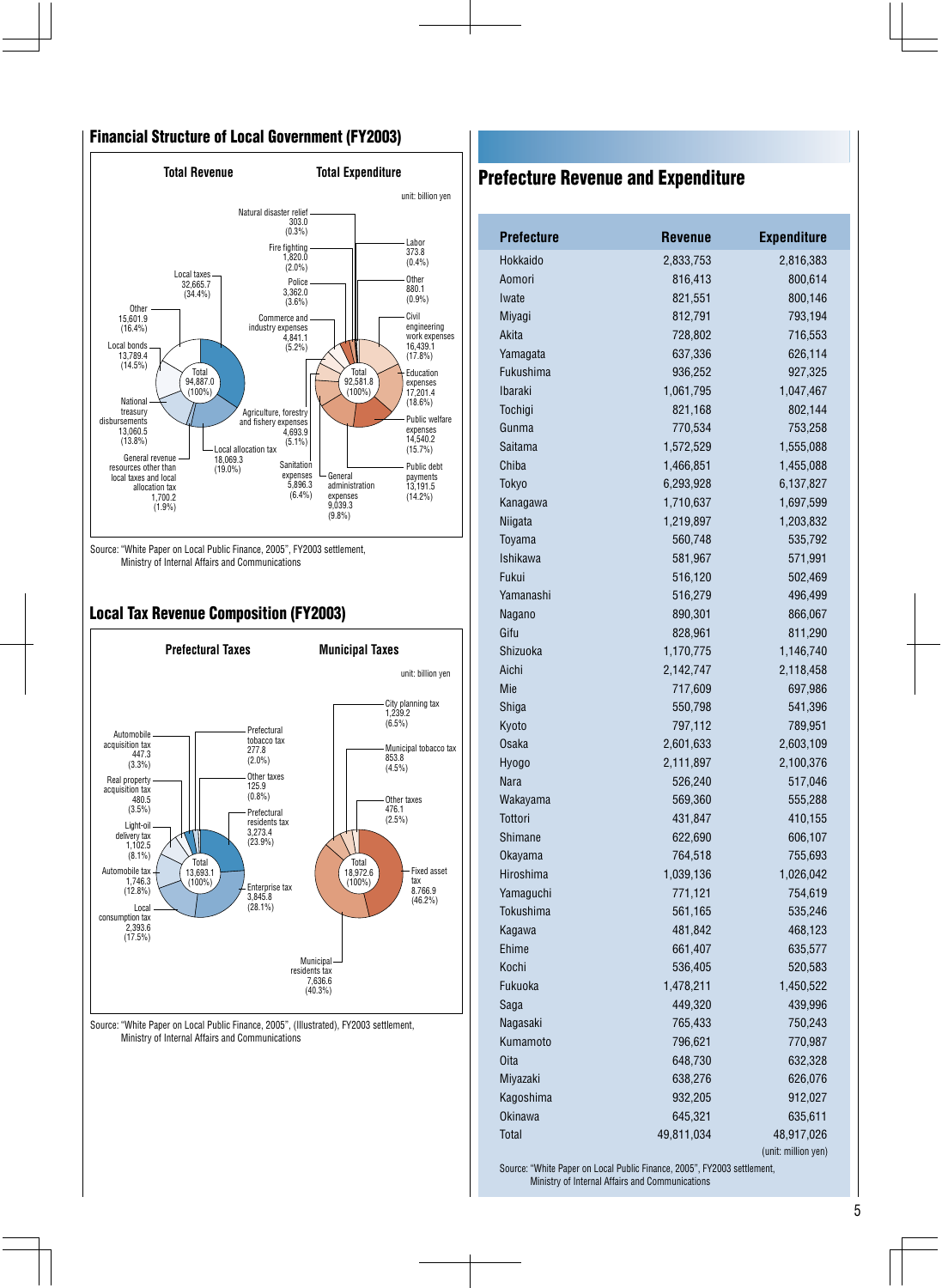### **Financial Structure of Local Government (FY2003)**



Source: "White Paper on Local Public Finance, 2005", FY2003 settlement, Ministry of Internal Affairs and Communications

# **Local Tax Revenue Composition (FY2003)**



Source: "White Paper on Local Public Finance, 2005", (Illustrated), FY2003 settlement, Ministry of Internal Affairs and Communications

# **Prefecture Revenue and Expenditure**

| <b>Prefecture</b> | <b>Revenue</b> | <b>Expenditure</b>  |
|-------------------|----------------|---------------------|
| Hokkaido          | 2,833,753      | 2,816,383           |
| Aomori            | 816,413        | 800,614             |
| Iwate             | 821,551        | 800,146             |
| Miyagi            | 812,791        | 793,194             |
| Akita             | 728,802        | 716,553             |
| Yamagata          | 637,336        | 626,114             |
| Fukushima         | 936,252        | 927,325             |
| <b>Ibaraki</b>    | 1,061,795      | 1,047,467           |
| Tochigi           | 821,168        | 802,144             |
| Gunma             | 770,534        | 753,258             |
| Saitama           | 1,572,529      | 1,555,088           |
| Chiba             | 1,466,851      | 1,455,088           |
| Tokyo             | 6,293,928      | 6,137,827           |
| Kanagawa          | 1,710,637      | 1,697,599           |
| Niigata           | 1,219,897      | 1,203,832           |
| Toyama            | 560,748        | 535,792             |
| <b>Ishikawa</b>   | 581,967        | 571,991             |
| Fukui             | 516,120        | 502,469             |
| Yamanashi         | 516,279        | 496,499             |
| Nagano            | 890,301        | 866,067             |
| Gifu              | 828,961        | 811,290             |
| Shizuoka          | 1,170,775      | 1,146,740           |
| Aichi             | 2,142,747      | 2,118,458           |
| Mie               | 717,609        | 697,986             |
| Shiga             | 550,798        | 541,396             |
| Kyoto             | 797,112        | 789,951             |
| Osaka             | 2,601,633      | 2,603,109           |
| Hyogo             | 2,111,897      | 2,100,376           |
| <b>Nara</b>       | 526,240        | 517,046             |
| Wakayama          | 569,360        | 555,288             |
| Tottori           | 431,847        | 410,155             |
| Shimane           | 622,690        | 606,107             |
| Okayama           | 764,518        | 755,693             |
| Hiroshima         | 1,039,136      | 1,026,042           |
| Yamaguchi         | 771,121        | 754,619             |
| <b>Tokushima</b>  | 561,165        | 535,246             |
| Kagawa            | 481,842        | 468,123             |
| Ehime             | 661,407        | 635,577             |
| Kochi             | 536,405        | 520,583             |
| Fukuoka           | 1,478,211      | 1,450,522           |
| Saga              | 449,320        | 439,996             |
| Nagasaki          | 765,433        | 750,243             |
| Kumamoto          | 796,621        | 770,987             |
| Oita              | 648,730        | 632,328             |
| Miyazaki          | 638,276        | 626,076             |
| Kagoshima         | 932,205        | 912,027             |
| <b>Okinawa</b>    | 645,321        | 635,611             |
| Total             | 49,811,034     | 48,917,026          |
|                   |                | (unit: million yen) |

Source: "White Paper on Local Public Finance, 2005", FY2003 settlement, Ministry of Internal Affairs and Communications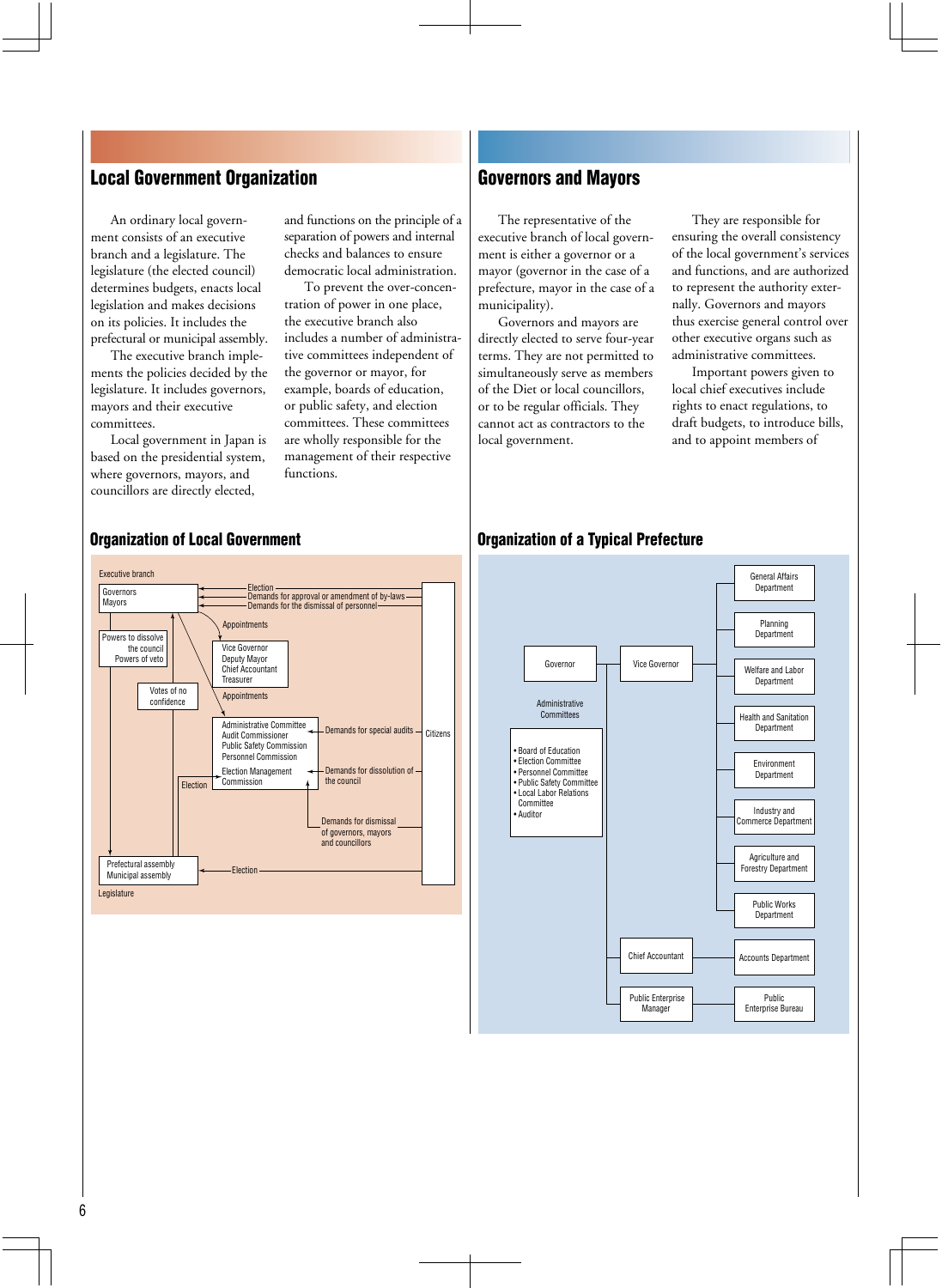# **Local Government Organization**

An ordinary local government consists of an executive branch and a legislature. The legislature (the elected council) determines budgets, enacts local legislation and makes decisions on its policies. It includes the prefectural or municipal assembly.

The executive branch implements the policies decided by the legislature. It includes governors, mayors and their executive committees.

Local government in Japan is based on the presidential system, where governors, mayors, and councillors are directly elected,

and functions on the principle of a separation of powers and internal checks and balances to ensure democratic local administration.

To prevent the over-concentration of power in one place, the executive branch also includes a number of administrative committees independent of the governor or mayor, for example, boards of education, or public safety, and election committees. These committees are wholly responsible for the management of their respective functions.

## **Governors and Mayors**

The representative of the executive branch of local government is either a governor or a mayor (governor in the case of a prefecture, mayor in the case of a municipality).

Governors and mayors are directly elected to serve four-year terms. They are not permitted to simultaneously serve as members of the Diet or local councillors, or to be regular officials. They cannot act as contractors to the local government.

They are responsible for ensuring the overall consistency of the local government's services and functions, and are authorized to represent the authority externally. Governors and mayors thus exercise general control over other executive organs such as administrative committees.

Important powers given to local chief executives include rights to enact regulations, to draft budgets, to introduce bills, and to appoint members of

# **Organization of Local Government**

#### **Organization of a Typical Prefecture**



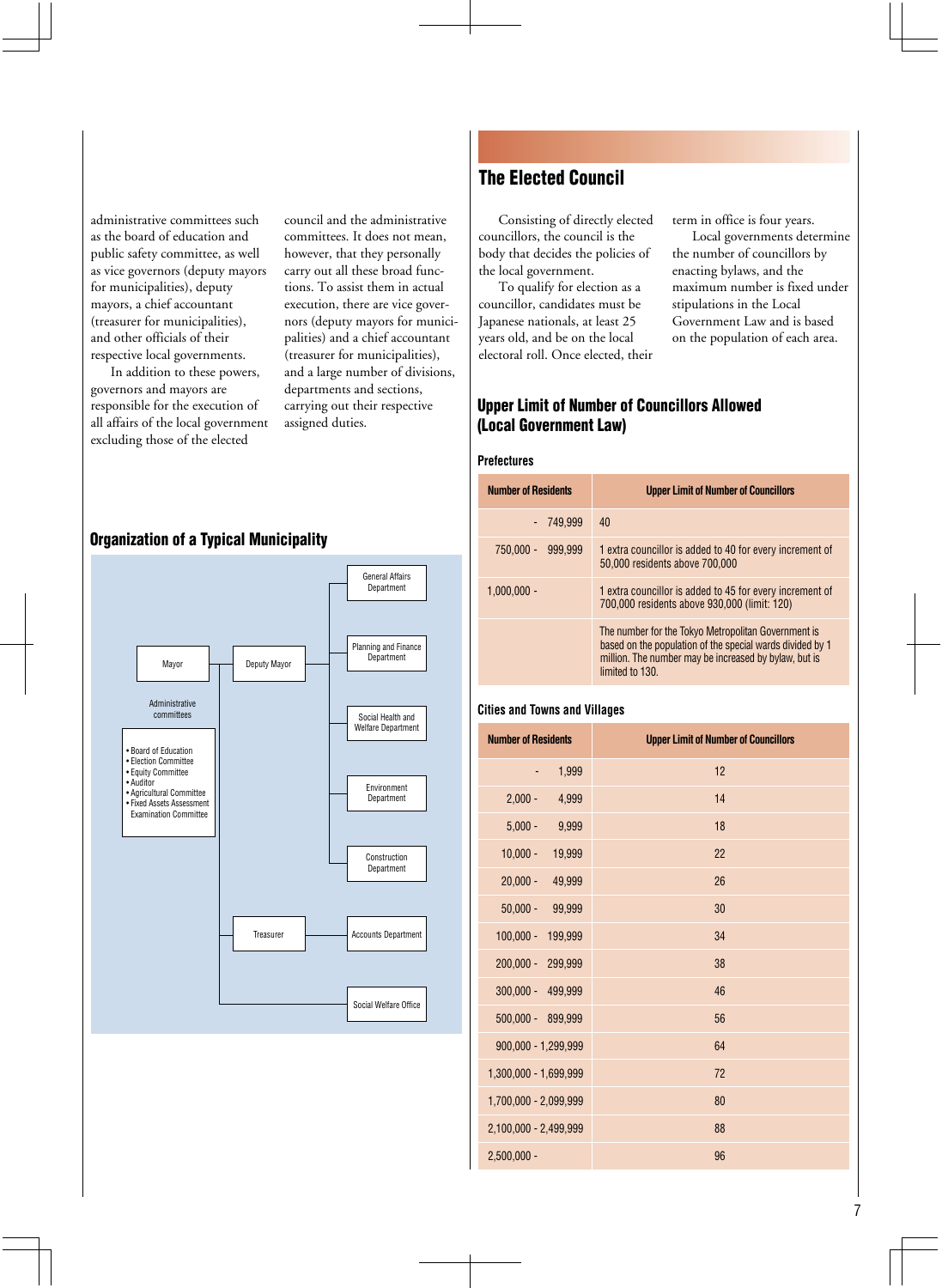administrative committees such as the board of education and public safety committee, as well as vice governors (deputy mayors for municipalities), deputy mayors, a chief accountant (treasurer for municipalities), and other officials of their respective local governments.

In addition to these powers, governors and mayors are responsible for the execution of all affairs of the local government excluding those of the elected

council and the administrative committees. It does not mean, however, that they personally carry out all these broad functions. To assist them in actual execution, there are vice governors (deputy mayors for municipalities) and a chief accountant (treasurer for municipalities), and a large number of divisions, departments and sections, carrying out their respective assigned duties.

#### **Organization of a Typical Municipality**



# **The Elected Council**

Consisting of directly elected councillors, the council is the body that decides the policies of the local government.

To qualify for election as a councillor, candidates must be Japanese nationals, at least 25 years old, and be on the local electoral roll. Once elected, their term in office is four years.

Local governments determine the number of councillors by enacting bylaws, and the maximum number is fixed under stipulations in the Local Government Law and is based on the population of each area.

#### **Upper Limit of Number of Councillors Allowed (Local Government Law)**

#### **Prefectures**

| <b>Number of Residents</b> | <b>Upper Limit of Number of Councillors</b>                                                                                                                                                  |
|----------------------------|----------------------------------------------------------------------------------------------------------------------------------------------------------------------------------------------|
| - 749.999                  | 40                                                                                                                                                                                           |
| 750,000 -<br>999.999       | 1 extra councillor is added to 40 for every increment of<br>50,000 residents above 700,000                                                                                                   |
| $1.000.000 -$              | 1 extra councillor is added to 45 for every increment of<br>700,000 residents above 930,000 (limit: 120)                                                                                     |
|                            | The number for the Tokyo Metropolitan Government is<br>based on the population of the special wards divided by 1<br>million. The number may be increased by bylaw, but is<br>limited to 130. |

#### **Cities and Towns and Villages**

| <b>Number of Residents</b> | <b>Upper Limit of Number of Councillors</b> |
|----------------------------|---------------------------------------------|
| 1,999                      | 12                                          |
| $2,000 -$<br>4,999         | 14                                          |
| $5,000 -$<br>9,999         | 18                                          |
| $10,000 -$<br>19,999       | 22                                          |
| $20,000 -$<br>49,999       | 26                                          |
| $50,000 -$<br>99,999       | 30                                          |
| $100,000 -$<br>199,999     | 34                                          |
| $200,000 -$<br>299,999     | 38                                          |
| 300,000 - 499,999          | 46                                          |
| 500,000 - 899,999          | 56                                          |
| 900,000 - 1,299,999        | 64                                          |
| 1,300,000 - 1,699,999      | 72                                          |
| 1,700,000 - 2,099,999      | 80                                          |
| 2,100,000 - 2,499,999      | 88                                          |
| $2,500,000 -$              | 96                                          |